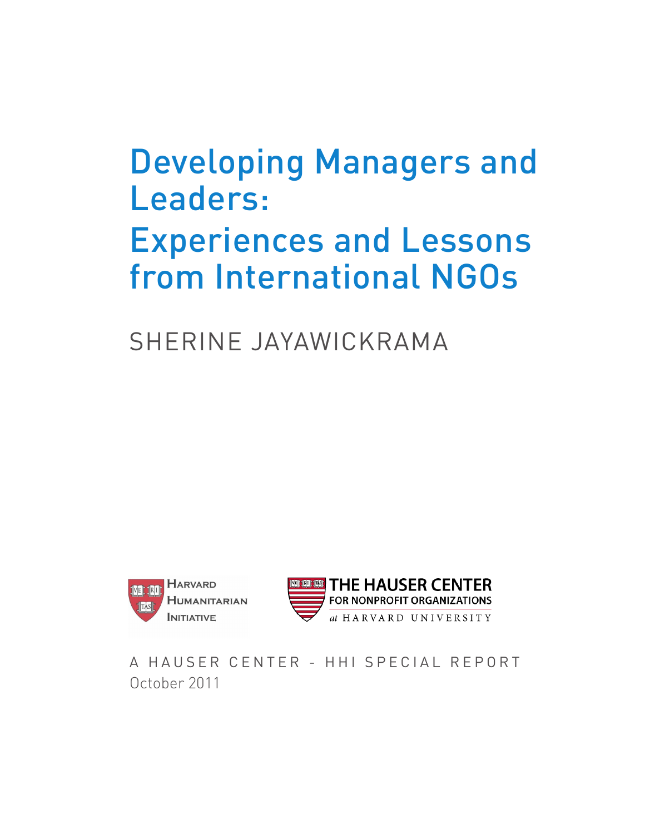# Developing Managers and Leaders: Experiences and Lessons from International NGOs

Sherine Jayawickrama





A HAUSER CENTER - HHI SPECIAL REPORT October 2011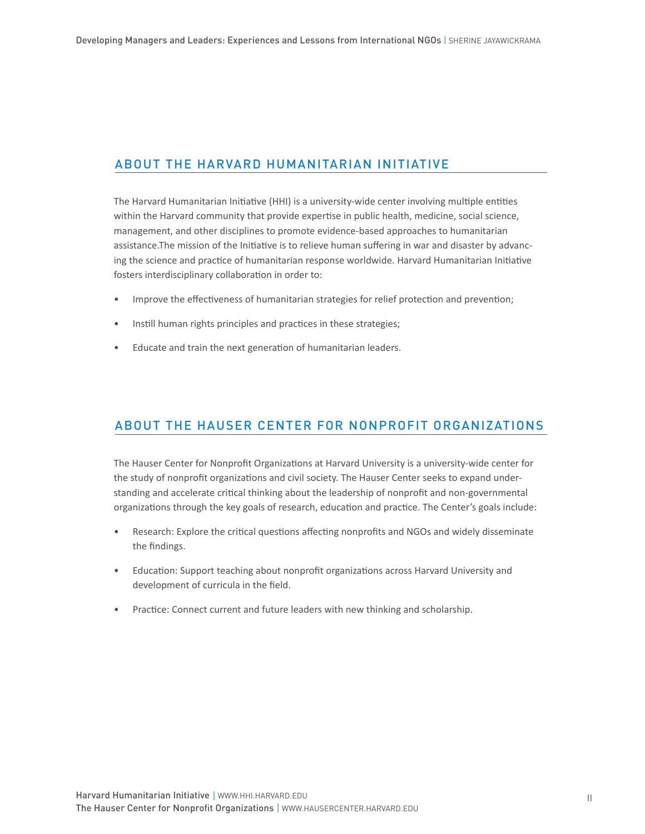## About the Harvard Humanitarian INitiative

The Harvard Humanitarian Initiative (HHI) is a university-wide center involving multiple entities within the Harvard community that provide expertise in public health, medicine, social science, management, and other disciplines to promote evidence-based approaches to humanitarian assistance.The mission of the Initiative is to relieve human suffering in war and disaster by advancing the science and practice of humanitarian response worldwide. Harvard Humanitarian Initiative fosters interdisciplinary collaboration in order to:

- Improve the effectiveness of humanitarian strategies for relief protection and prevention; •
- Instill human rights principles and practices in these strategies; •
- Educate and train the next generation of humanitarian leaders. •

## About the HaUSER CENTER FOR NONPROFIT ORGANIZATIONS

The Hauser Center for Nonprofit Organizations at Harvard University is a university-wide center for the study of nonprofit organizations and civil society. The Hauser Center seeks to expand understanding and accelerate critical thinking about the leadership of nonprofit and non-governmental organizations through the key goals of research, education and practice. The Center's goals include:

- Research: Explore the critical questions affecting nonprofits and NGOs and widely disseminate the findings. •
- Education: Support teaching about nonprofit organizations across Harvard University and development of curricula in the field.
- Practice: Connect current and future leaders with new thinking and scholarship. •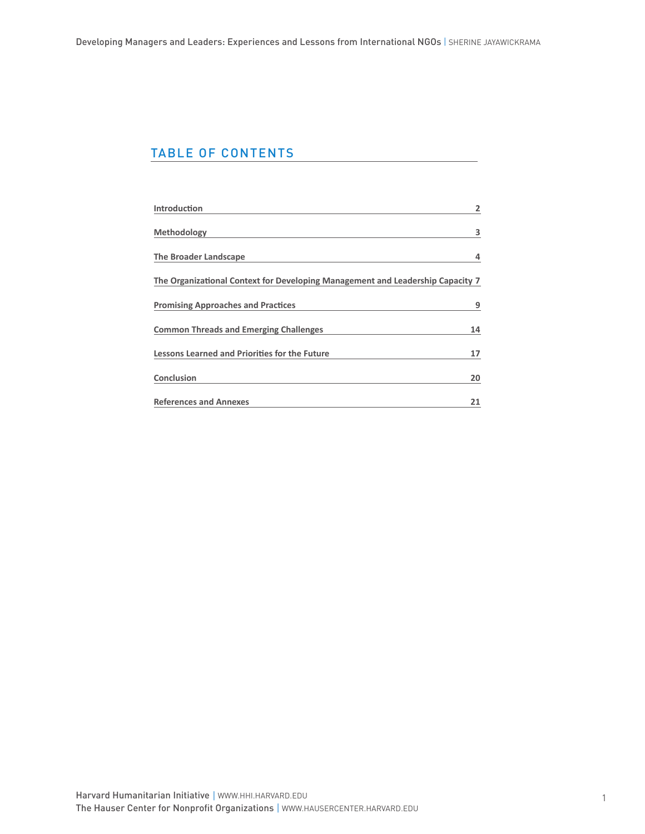# TABLE OF CONTENTS

| <b>Introduction</b>                                                            | 2  |
|--------------------------------------------------------------------------------|----|
| <b>Methodology</b>                                                             | 3  |
| <b>The Broader Landscape</b>                                                   | 4  |
| The Organizational Context for Developing Management and Leadership Capacity 7 |    |
| <b>Promising Approaches and Practices</b>                                      | 9  |
| <b>Common Threads and Emerging Challenges</b>                                  | 14 |
| <b>Lessons Learned and Priorities for the Future</b>                           | 17 |
| Conclusion                                                                     | 20 |
| <b>References and Annexes</b>                                                  | 21 |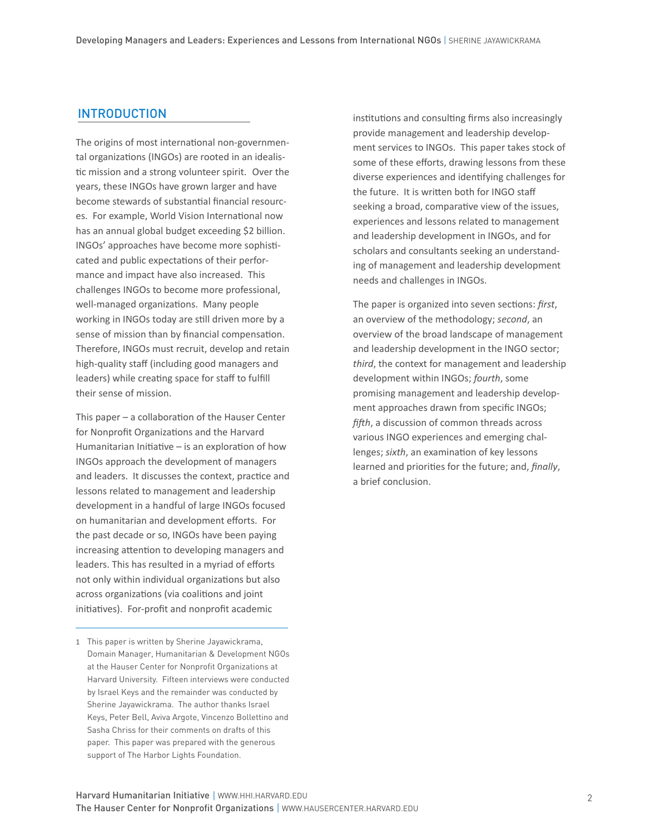### INTRODUCTION

The origins of most international non-governmental organizations (INGOs) are rooted in an idealistic mission and a strong volunteer spirit. Over the years, these INGOs have grown larger and have become stewards of substantial financial resources. For example, World Vision International now has an annual global budget exceeding \$2 billion. INGOs' approaches have become more sophisticated and public expectations of their performance and impact have also increased. This challenges INGOs to become more professional, well-managed organizations. Many people working in INGOs today are still driven more by a sense of mission than by financial compensation. Therefore, INGOs must recruit, develop and retain high-quality staff (including good managers and leaders) while creating space for staff to fulfill their sense of mission.

This paper – a collaboration of the Hauser Center for Nonprofit Organizations and the Harvard Humanitarian Initiative – is an exploration of how INGOs approach the development of managers and leaders. It discusses the context, practice and lessons related to management and leadership development in a handful of large INGOs focused on humanitarian and development efforts. For the past decade or so, INGOs have been paying increasing attention to developing managers and leaders. This has resulted in a myriad of efforts not only within individual organizations but also across organizations (via coalitions and joint initiatives). For-profit and nonprofit academic

1 This paper is written by Sherine Jayawickrama, Domain Manager, Humanitarian & Development NGOs at the Hauser Center for Nonprofit Organizations at Harvard University. Fifteen interviews were conducted by Israel Keys and the remainder was conducted by Sherine Jayawickrama. The author thanks Israel Keys, Peter Bell, Aviva Argote, Vincenzo Bollettino and Sasha Chriss for their comments on drafts of this paper. This paper was prepared with the generous support of The Harbor Lights Foundation.

institutions and consulting firms also increasingly provide management and leadership development services to INGOs. This paper takes stock of some of these efforts, drawing lessons from these diverse experiences and identifying challenges for the future. It is written both for INGO staff seeking a broad, comparative view of the issues, experiences and lessons related to management and leadership development in INGOs, and for scholars and consultants seeking an understanding of management and leadership development needs and challenges in INGOs.

The paper is organized into seven sections: *first*, an overview of the methodology; *second*, an overview of the broad landscape of management and leadership development in the INGO sector; *third*, the context for management and leadership development within INGOs; *fourth*, some promising management and leadership development approaches drawn from specific INGOs; *fifth*, a discussion of common threads across various INGO experiences and emerging challenges; *sixth*, an examination of key lessons learned and priorities for the future; and, *finally*, a brief conclusion.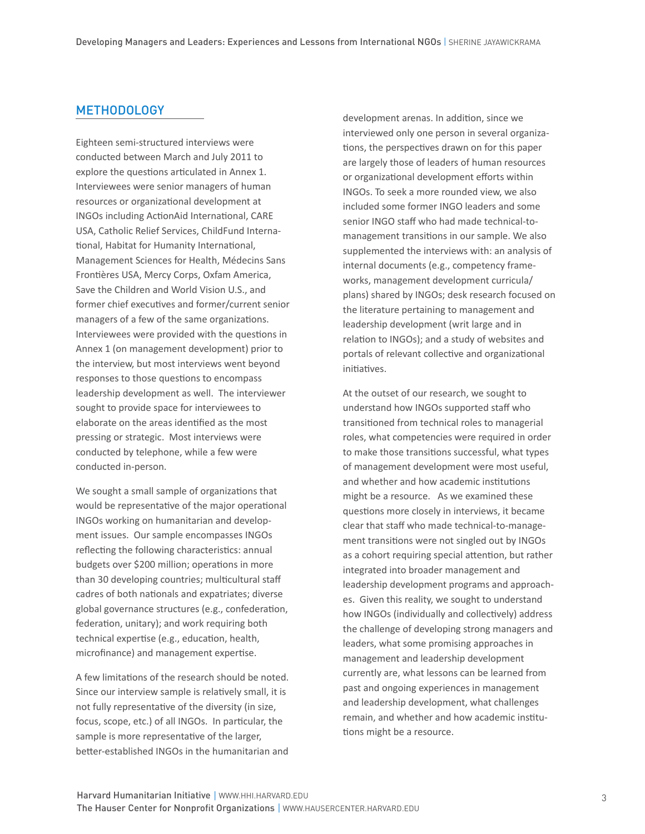## **METHODOLOGY**

Eighteen semi-structured interviews were conducted between March and July 2011 to explore the questions articulated in Annex 1. Interviewees were senior managers of human resources or organizational development at INGOs including ActionAid International, CARE USA, Catholic Relief Services, ChildFund International, Habitat for Humanity International, Management Sciences for Health, Médecins Sans Frontières USA, Mercy Corps, Oxfam America, Save the Children and World Vision U.S., and former chief executives and former/current senior managers of a few of the same organizations. Interviewees were provided with the questions in Annex 1 (on management development) prior to the interview, but most interviews went beyond responses to those questions to encompass leadership development as well. The interviewer sought to provide space for interviewees to elaborate on the areas identified as the most pressing or strategic. Most interviews were conducted by telephone, while a few were conducted in-person.

We sought a small sample of organizations that would be representative of the major operational INGOs working on humanitarian and development issues. Our sample encompasses INGOs reflecting the following characteristics: annual budgets over \$200 million; operations in more than 30 developing countries; multicultural staff cadres of both nationals and expatriates; diverse global governance structures (e.g., confederation, federation, unitary); and work requiring both technical expertise (e.g., education, health, microfinance) and management expertise.

A few limitations of the research should be noted. Since our interview sample is relatively small, it is not fully representative of the diversity (in size, focus, scope, etc.) of all INGOs. In particular, the sample is more representative of the larger, better-established INGOs in the humanitarian and

development arenas. In addition, since we interviewed only one person in several organizations, the perspectives drawn on for this paper are largely those of leaders of human resources or organizational development efforts within INGOs. To seek a more rounded view, we also included some former INGO leaders and some senior INGO staff who had made technical-tomanagement transitions in our sample. We also supplemented the interviews with: an analysis of internal documents (e.g., competency frameworks, management development curricula/ plans) shared by INGOs; desk research focused on the literature pertaining to management and leadership development (writ large and in relation to INGOs); and a study of websites and portals of relevant collective and organizational initiatives.

At the outset of our research, we sought to understand how INGOs supported staff who transitioned from technical roles to managerial roles, what competencies were required in order to make those transitions successful, what types of management development were most useful, and whether and how academic institutions might be a resource. As we examined these questions more closely in interviews, it became clear that staff who made technical-to-management transitions were not singled out by INGOs as a cohort requiring special attention, but rather integrated into broader management and leadership development programs and approaches. Given this reality, we sought to understand how INGOs (individually and collectively) address the challenge of developing strong managers and leaders, what some promising approaches in management and leadership development currently are, what lessons can be learned from past and ongoing experiences in management and leadership development, what challenges remain, and whether and how academic institutions might be a resource.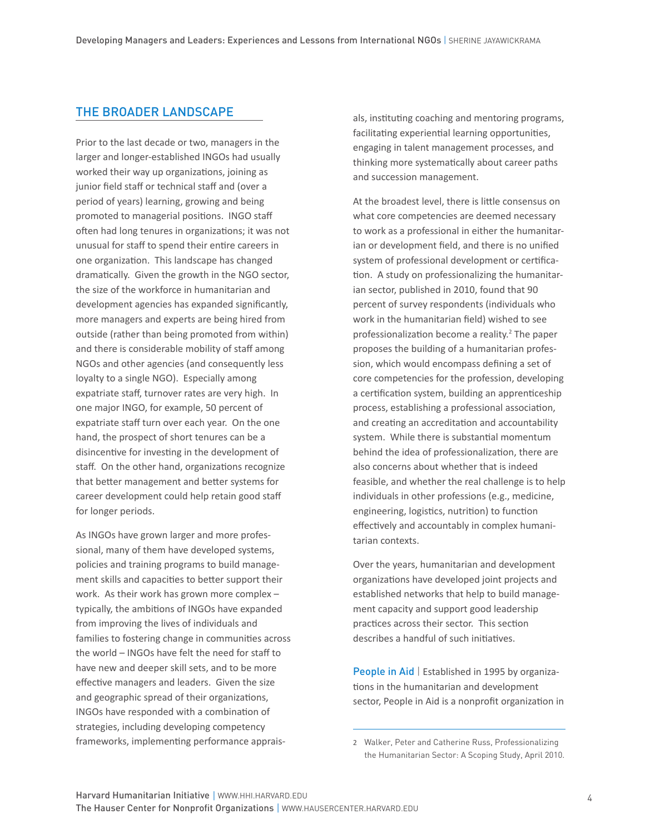#### the broader landscape

Prior to the last decade or two, managers in the larger and longer-established INGOs had usually worked their way up organizations, joining as junior field staff or technical staff and (over a period of years) learning, growing and being promoted to managerial positions. INGO staff often had long tenures in organizations; it was not unusual for staff to spend their entire careers in one organization. This landscape has changed dramatically. Given the growth in the NGO sector, the size of the workforce in humanitarian and development agencies has expanded significantly, more managers and experts are being hired from outside (rather than being promoted from within) and there is considerable mobility of staff among NGOs and other agencies (and consequently less loyalty to a single NGO). Especially among expatriate staff, turnover rates are very high. In one major INGO, for example, 50 percent of expatriate staff turn over each year. On the one hand, the prospect of short tenures can be a disincentive for investing in the development of staff. On the other hand, organizations recognize that better management and better systems for career development could help retain good staff for longer periods.

As INGOs have grown larger and more professional, many of them have developed systems, policies and training programs to build management skills and capacities to better support their work. As their work has grown more complex – typically, the ambitions of INGOs have expanded from improving the lives of individuals and families to fostering change in communities across the world – INGOs have felt the need for staff to have new and deeper skill sets, and to be more effective managers and leaders. Given the size and geographic spread of their organizations, INGOs have responded with a combination of strategies, including developing competency frameworks, implementing performance appraisals, instituting coaching and mentoring programs, facilitating experiential learning opportunities, engaging in talent management processes, and thinking more systematically about career paths and succession management.

At the broadest level, there is little consensus on what core competencies are deemed necessary to work as a professional in either the humanitarian or development field, and there is no unified system of professional development or certification. A study on professionalizing the humanitarian sector, published in 2010, found that 90 percent of survey respondents (individuals who work in the humanitarian field) wished to see professionalization become a reality.<sup>2</sup> The paper proposes the building of a humanitarian profession, which would encompass defining a set of core competencies for the profession, developing a certification system, building an apprenticeship process, establishing a professional association, and creating an accreditation and accountability system. While there is substantial momentum behind the idea of professionalization, there are also concerns about whether that is indeed feasible, and whether the real challenge is to help individuals in other professions (e.g., medicine, engineering, logistics, nutrition) to function effectively and accountably in complex humanitarian contexts.

Over the years, humanitarian and development organizations have developed joint projects and established networks that help to build management capacity and support good leadership practices across their sector. This section describes a handful of such initiatives.

People in Aid | Established in 1995 by organizations in the humanitarian and development sector, People in Aid is a nonprofit organization in

Walker, Peter and Catherine Russ, Professionalizing the Humanitarian Sector: A Scoping Study, April 2010.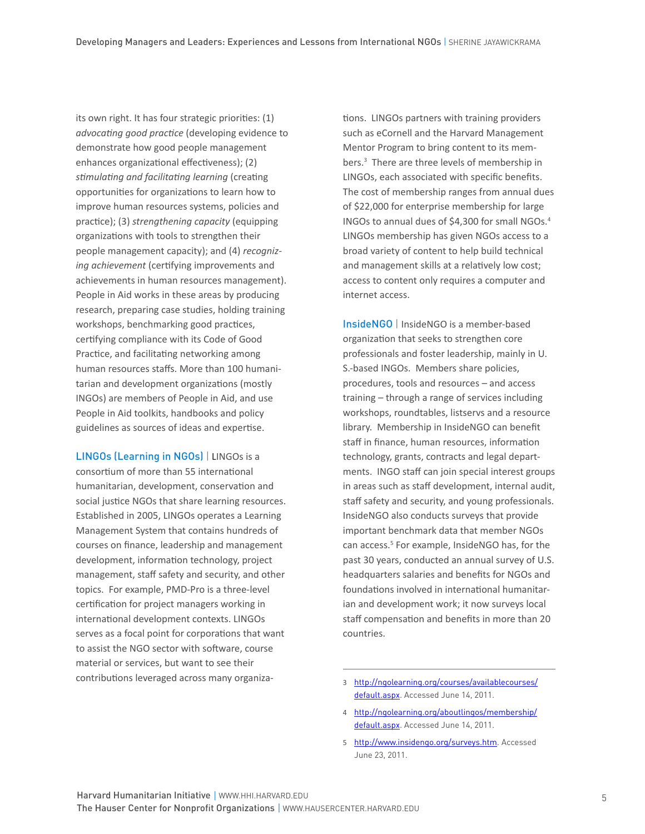its own right. It has four strategic priorities: (1) *advocating good practice* (developing evidence to demonstrate how good people management enhances organizational effectiveness); (2) *stimulating and facilitating learning* (creating opportunities for organizations to learn how to improve human resources systems, policies and practice); (3) *strengthening capacity* (equipping organizations with tools to strengthen their people management capacity); and (4) *recognizing achievement* (certifying improvements and achievements in human resources management). People in Aid works in these areas by producing research, preparing case studies, holding training workshops, benchmarking good practices, certifying compliance with its Code of Good Practice, and facilitating networking among human resources staffs. More than 100 humanitarian and development organizations (mostly INGOs) are members of People in Aid, and use People in Aid toolkits, handbooks and policy guidelines as sources of ideas and expertise.

LINGOs (Learning in NGOs) | LINGOs is a consortium of more than 55 international humanitarian, development, conservation and social justice NGOs that share learning resources. Established in 2005, LINGOs operates a Learning Management System that contains hundreds of courses on finance, leadership and management development, information technology, project management, staff safety and security, and other topics. For example, PMD-Pro is a three-level certification for project managers working in international development contexts. LINGOs serves as a focal point for corporations that want to assist the NGO sector with software, course material or services, but want to see their contributions leveraged across many organizations. LINGOs partners with training providers such as eCornell and the Harvard Management Mentor Program to bring content to its members. There are three levels of membership in LINGOs, each associated with specific benefits. The cost of membership ranges from annual dues of \$22,000 for enterprise membership for large INGOs to annual dues of \$4,300 for small NGOs. LINGOs membership has given NGOs access to a broad variety of content to help build technical and management skills at a relatively low cost; access to content only requires a computer and internet access.

InsideNGO | InsideNGO is a member-based organization that seeks to strengthen core professionals and foster leadership, mainly in U. S.-based INGOs. Members share policies, procedures, tools and resources – and access training – through a range of services including workshops, roundtables, listservs and a resource library. Membership in InsideNGO can benefit staff in finance, human resources, information technology, grants, contracts and legal departments. INGO staff can join special interest groups in areas such as staff development, internal audit, staff safety and security, and young professionals. InsideNGO also conducts surveys that provide important benchmark data that member NGOs can access.<sup>5</sup> For example, InsideNGO has, for the past 30 years, conducted an annual survey of U.S. headquarters salaries and benefits for NGOs and foundations involved in international humanitarian and development work; it now surveys local staff compensation and benefits in more than 20 countries.

5 http://www.insidengo.org/surveys.htm. Accessed June 23, 2011.

 http://ngolearning.org/courses/availablecourses/ default.aspx. Accessed June 14, 2011.

http://ngolearning.org/aboutlingos/membership/ default.aspx. Accessed June 14, 2011.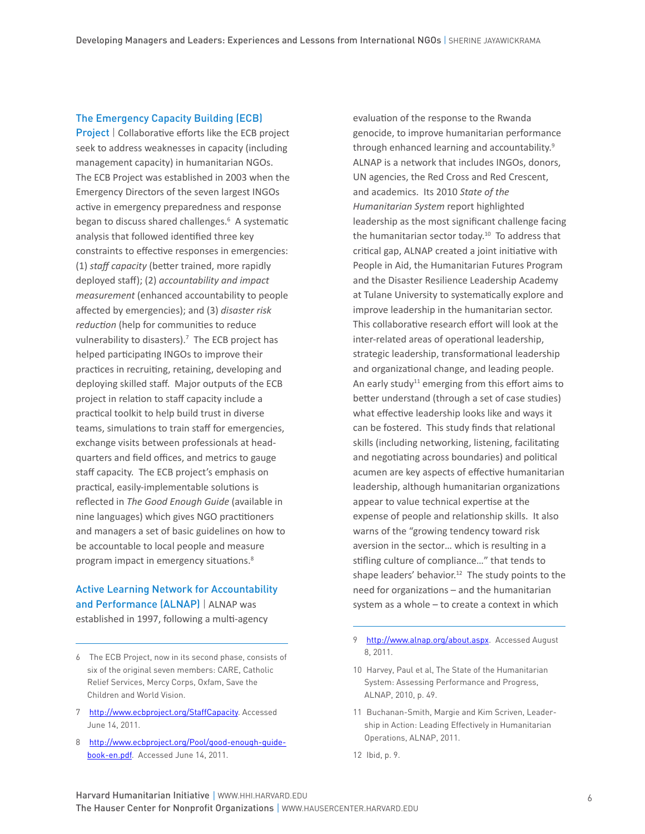#### The Emergency Capacity Building (ECB)

Project | Collaborative efforts like the ECB project seek to address weaknesses in capacity (including management capacity) in humanitarian NGOs. The ECB Project was established in 2003 when the Emergency Directors of the seven largest INGOs active in emergency preparedness and response began to discuss shared challenges.<sup>6</sup> A systematic analysis that followed identified three key constraints to effective responses in emergencies: (1) *staff capacity* (better trained, more rapidly deployed staff); (2) *accountability and impact measurement* (enhanced accountability to people affected by emergencies); and (3) *disaster risk reduction* (help for communities to reduce vulnerability to disasters).<sup>7</sup> The ECB project has helped participating INGOs to improve their practices in recruiting, retaining, developing and deploying skilled staff. Major outputs of the ECB project in relation to staff capacity include a practical toolkit to help build trust in diverse teams, simulations to train staff for emergencies, exchange visits between professionals at headquarters and field offices, and metrics to gauge staff capacity. The ECB project's emphasis on practical, easily-implementable solutions is reflected in *The Good Enough Guide* (available in nine languages) which gives NGO practitioners and managers a set of basic guidelines on how to be accountable to local people and measure program impact in emergency situations.

# Active Learning Network for Accountability and Performance (ALNAP) | ALNAP was

established in 1997, following a multi-agency

- 7 http://www.ecbproject.org/StaffCapacity. Accessed June 14, 2011.
- http://www.ecbproject.org/Pool/good-enough-guidebook-en.pdf. Accessed June 14, 2011.

evaluation of the response to the Rwanda genocide, to improve humanitarian performance through enhanced learning and accountability. ALNAP is a network that includes INGOs, donors, UN agencies, the Red Cross and Red Crescent, and academics. Its 2010 *State of the Humanitarian System* report highlighted leadership as the most significant challenge facing the humanitarian sector today.10 To address that critical gap, ALNAP created a joint initiative with People in Aid, the Humanitarian Futures Program and the Disaster Resilience Leadership Academy at Tulane University to systematically explore and improve leadership in the humanitarian sector. This collaborative research effort will look at the inter-related areas of operational leadership, strategic leadership, transformational leadership and organizational change, and leading people. An early study<sup>11</sup> emerging from this effort aims to better understand (through a set of case studies) what effective leadership looks like and ways it can be fostered. This study finds that relational skills (including networking, listening, facilitating and negotiating across boundaries) and political acumen are key aspects of effective humanitarian leadership, although humanitarian organizations appear to value technical expertise at the expense of people and relationship skills. It also warns of the "growing tendency toward risk aversion in the sector… which is resulting in a stifling culture of compliance…" that tends to shape leaders' behavior.<sup>12</sup> The study points to the need for organizations – and the humanitarian system as a whole – to create a context in which

- 9 http://www.alnap.org/about.aspx. Accessed August 8, 2011.
- 10 Harvey, Paul et al, The State of the Humanitarian System: Assessing Performance and Progress, ALNAP, 2010, p. 49.
- 11 Buchanan-Smith, Margie and Kim Scriven, Leadership in Action: Leading Effectively in Humanitarian Operations, ALNAP, 2011.
- 12 Ibid, p. 9.

The ECB Project, now in its second phase, consists of six of the original seven members: CARE, Catholic Relief Services, Mercy Corps, Oxfam, Save the Children and World Vision.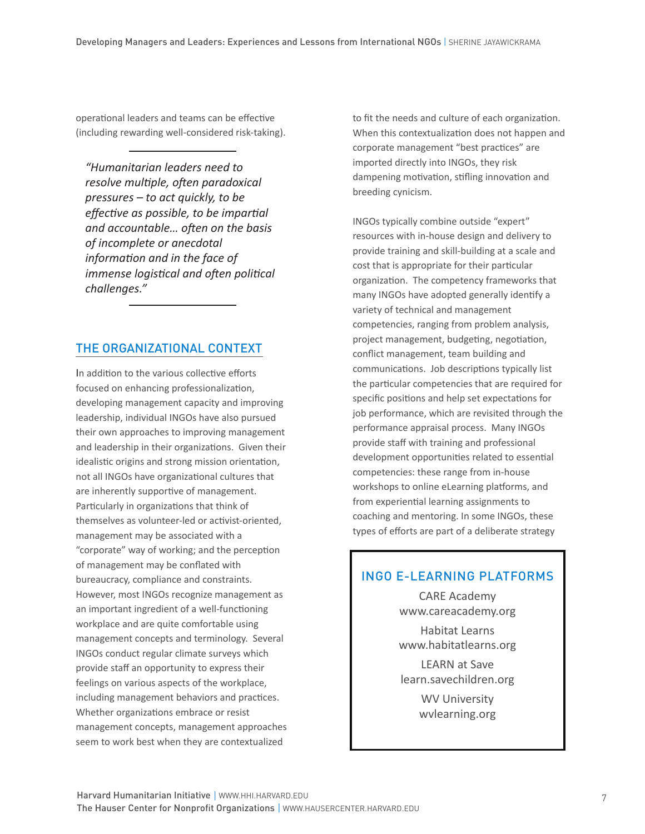operational leaders and teams can be effective (including rewarding well-considered risk-taking).

*"Humanitarian leaders need to resolve multiple, often paradoxical pressures – to act quickly, to be effective as possible, to be impartial and accountable… often on the basis of incomplete or anecdotal information and in the face of immense logistical and often political challenges."*

## The Organizational Context

In addition to the various collective efforts focused on enhancing professionalization, developing management capacity and improving leadership, individual INGOs have also pursued their own approaches to improving management and leadership in their organizations. Given their idealistic origins and strong mission orientation, not all INGOs have organizational cultures that are inherently supportive of management. Particularly in organizations that think of themselves as volunteer-led or activist-oriented, management may be associated with a "corporate" way of working; and the perception of management may be conflated with bureaucracy, compliance and constraints. However, most INGOs recognize management as an important ingredient of a well-functioning workplace and are quite comfortable using management concepts and terminology. Several INGOs conduct regular climate surveys which provide staff an opportunity to express their feelings on various aspects of the workplace, including management behaviors and practices. Whether organizations embrace or resist management concepts, management approaches seem to work best when they are contextualized

to fit the needs and culture of each organization. When this contextualization does not happen and corporate management "best practices" are imported directly into INGOs, they risk dampening motivation, stifling innovation and breeding cynicism.

INGOs typically combine outside "expert" resources with in-house design and delivery to provide training and skill-building at a scale and cost that is appropriate for their particular organization. The competency frameworks that many INGOs have adopted generally identify a variety of technical and management competencies, ranging from problem analysis, project management, budgeting, negotiation, conflict management, team building and communications. Job descriptions typically list the particular competencies that are required for specific positions and help set expectations for job performance, which are revisited through the performance appraisal process. Many INGOs provide staff with training and professional development opportunities related to essential competencies: these range from in-house workshops to online eLearning platforms, and from experiential learning assignments to coaching and mentoring. In some INGOs, these types of efforts are part of a deliberate strategy

## ingo e-learning platforms

CARE Academy www.careacademy.org

Habitat Learns www.habitatlearns.org

LEARN at Save learn.savechildren.org

WV University wvlearning.org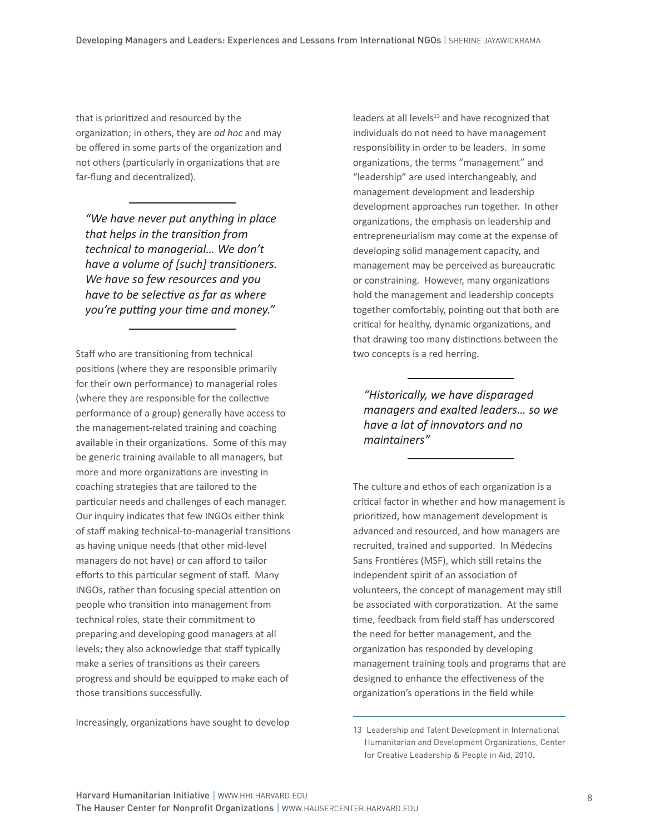that is prioritized and resourced by the organization; in others, they are *ad hoc* and may be offered in some parts of the organization and not others (particularly in organizations that are far-flung and decentralized).

*"We have never put anything in place that helps in the transition from technical to managerial… We don't have a volume of [such] transitioners. We have so few resources and you have to be selective as far as where you're putting your time and money."*

Staff who are transitioning from technical positions (where they are responsible primarily for their own performance) to managerial roles (where they are responsible for the collective performance of a group) generally have access to the management-related training and coaching available in their organizations. Some of this may be generic training available to all managers, but more and more organizations are investing in coaching strategies that are tailored to the particular needs and challenges of each manager. Our inquiry indicates that few INGOs either think of staff making technical-to-managerial transitions as having unique needs (that other mid-level managers do not have) or can afford to tailor efforts to this particular segment of staff. Many INGOs, rather than focusing special attention on people who transition into management from technical roles, state their commitment to preparing and developing good managers at all levels; they also acknowledge that staff typically make a series of transitions as their careers progress and should be equipped to make each of those transitions successfully.

Increasingly, organizations have sought to develop

leaders at all levels<sup>13</sup> and have recognized that individuals do not need to have management responsibility in order to be leaders. In some organizations, the terms "management" and "leadership" are used interchangeably, and management development and leadership development approaches run together. In other organizations, the emphasis on leadership and entrepreneurialism may come at the expense of developing solid management capacity, and management may be perceived as bureaucratic or constraining. However, many organizations hold the management and leadership concepts together comfortably, pointing out that both are critical for healthy, dynamic organizations, and that drawing too many distinctions between the two concepts is a red herring.

*"Historically, we have disparaged managers and exalted leaders… so we have a lot of innovators and no maintainers"*

The culture and ethos of each organization is a critical factor in whether and how management is prioritized, how management development is advanced and resourced, and how managers are recruited, trained and supported. In Médecins Sans Frontières (MSF), which still retains the independent spirit of an association of volunteers, the concept of management may still be associated with corporatization. At the same time, feedback from field staff has underscored the need for better management, and the organization has responded by developing management training tools and programs that are designed to enhance the effectiveness of the organization's operations in the field while

<sup>13</sup> Leadership and Talent Development in International Humanitarian and Development Organizations, Center for Creative Leadership & People in Aid, 2010.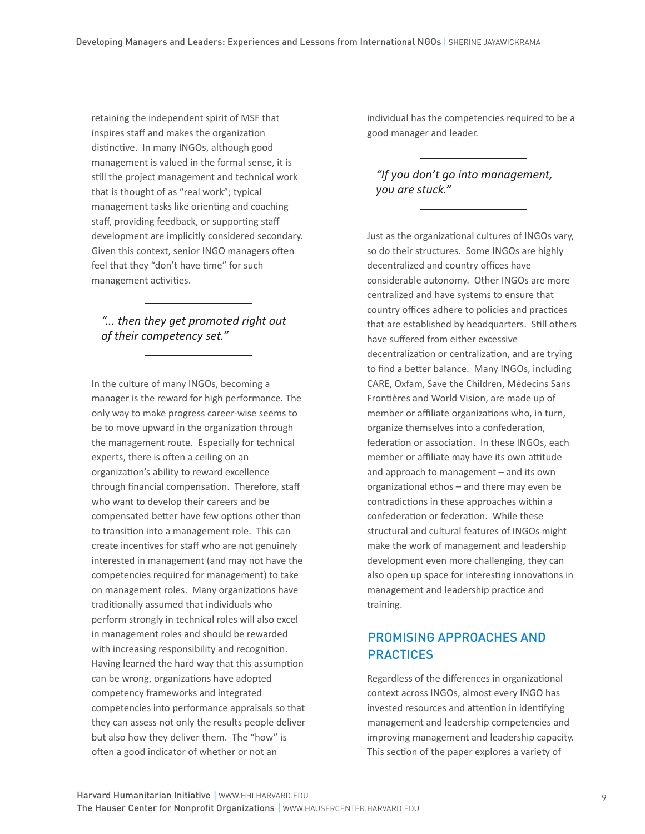retaining the independent spirit of MSF that inspires staff and makes the organization distinctive. In many INGOs, although good management is valued in the formal sense, it is still the project management and technical work that is thought of as "real work"; typical management tasks like orienting and coaching staff, providing feedback, or supporting staff development are implicitly considered secondary. Given this context, senior INGO managers often feel that they "don't have time" for such management activities.

## *"... then they get promoted right out of their competency set."*

In the culture of many INGOs, becoming a manager is the reward for high performance. The only way to make progress career-wise seems to be to move upward in the organization through the management route. Especially for technical experts, there is often a ceiling on an organization's ability to reward excellence through financial compensation. Therefore, staff who want to develop their careers and be compensated better have few options other than to transition into a management role. This can create incentives for staff who are not genuinely interested in management (and may not have the competencies required for management) to take on management roles. Many organizations have traditionally assumed that individuals who perform strongly in technical roles will also excel in management roles and should be rewarded with increasing responsibility and recognition. Having learned the hard way that this assumption can be wrong, organizations have adopted competency frameworks and integrated competencies into performance appraisals so that they can assess not only the results people deliver but also how they deliver them. The "how" is often a good indicator of whether or not an

individual has the competencies required to be a good manager and leader.

## *"If you don't go into management, you are stuck."*

Just as the organizational cultures of INGOs vary, so do their structures. Some INGOs are highly decentralized and country offices have considerable autonomy. Other INGOs are more centralized and have systems to ensure that country offices adhere to policies and practices that are established by headquarters. Still others have suffered from either excessive decentralization or centralization, and are trying to find a better balance. Many INGOs, including CARE, Oxfam, Save the Children, Médecins Sans Frontières and World Vision, are made up of member or affiliate organizations who, in turn, organize themselves into a confederation, federation or association. In these INGOs, each member or affiliate may have its own attitude and approach to management – and its own organizational ethos – and there may even be contradictions in these approaches within a confederation or federation. While these structural and cultural features of INGOs might make the work of management and leadership development even more challenging, they can also open up space for interesting innovations in management and leadership practice and training.

# PROMISING APPROACHES AND **PRACTICES**

Regardless of the differences in organizational context across INGOs, almost every INGO has invested resources and attention in identifying management and leadership competencies and improving management and leadership capacity. This section of the paper explores a variety of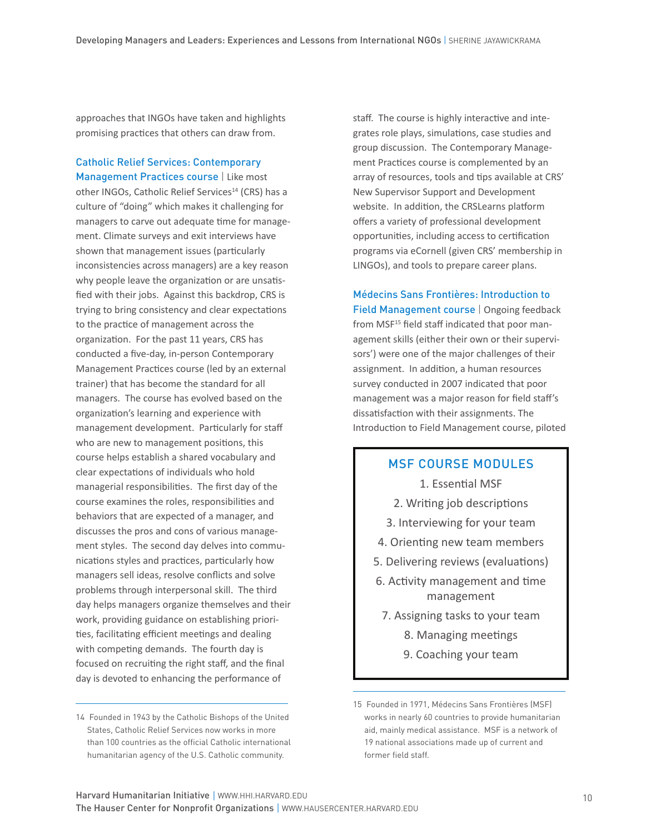approaches that INGOs have taken and highlights promising practices that others can draw from.

Catholic Relief Services: Contemporary Management Practices course | Like most other INGOs, Catholic Relief Services<sup>14</sup> (CRS) has a culture of "doing" which makes it challenging for managers to carve out adequate time for management. Climate surveys and exit interviews have shown that management issues (particularly inconsistencies across managers) are a key reason why people leave the organization or are unsatisfied with their jobs. Against this backdrop, CRS is trying to bring consistency and clear expectations to the practice of management across the organization. For the past 11 years, CRS has conducted a five-day, in-person Contemporary Management Practices course (led by an external trainer) that has become the standard for all managers. The course has evolved based on the organization's learning and experience with management development. Particularly for staff who are new to management positions, this course helps establish a shared vocabulary and clear expectations of individuals who hold managerial responsibilities. The first day of the course examines the roles, responsibilities and behaviors that are expected of a manager, and discusses the pros and cons of various management styles. The second day delves into communications styles and practices, particularly how managers sell ideas, resolve conflicts and solve problems through interpersonal skill. The third day helps managers organize themselves and their work, providing guidance on establishing priorities, facilitating efficient meetings and dealing with competing demands. The fourth day is focused on recruiting the right staff, and the final day is devoted to enhancing the performance of

staff. The course is highly interactive and integrates role plays, simulations, case studies and group discussion. The Contemporary Management Practices course is complemented by an array of resources, tools and tips available at CRS' New Supervisor Support and Development website. In addition, the CRSLearns platform offers a variety of professional development opportunities, including access to certification programs via eCornell (given CRS' membership in LINGOs), and tools to prepare career plans.

Médecins Sans Frontières: Introduction to Field Management course | Ongoing feedback from MSF<sup>15</sup> field staff indicated that poor management skills (either their own or their supervisors') were one of the major challenges of their assignment. In addition, a human resources survey conducted in 2007 indicated that poor management was a major reason for field staff's dissatisfaction with their assignments. The Introduction to Field Management course, piloted

#### msf course modules

- 1. Essential MSF
- 2. Writing job descriptions
- 3. Interviewing for your team
- 4. Orienting new team members
- 5. Delivering reviews (evaluations)
- 6. Activity management and time management
- 7. Assigning tasks to your team
	- 8. Managing meetings
	- 9. Coaching your team

<sup>14</sup> Founded in 1943 by the Catholic Bishops of the United States, Catholic Relief Services now works in more than 100 countries as the official Catholic international humanitarian agency of the U.S. Catholic community.

<sup>15</sup> Founded in 1971, Médecins Sans Frontières (MSF) works in nearly 60 countries to provide humanitarian aid, mainly medical assistance. MSF is a network of 19 national associations made up of current and former field staff.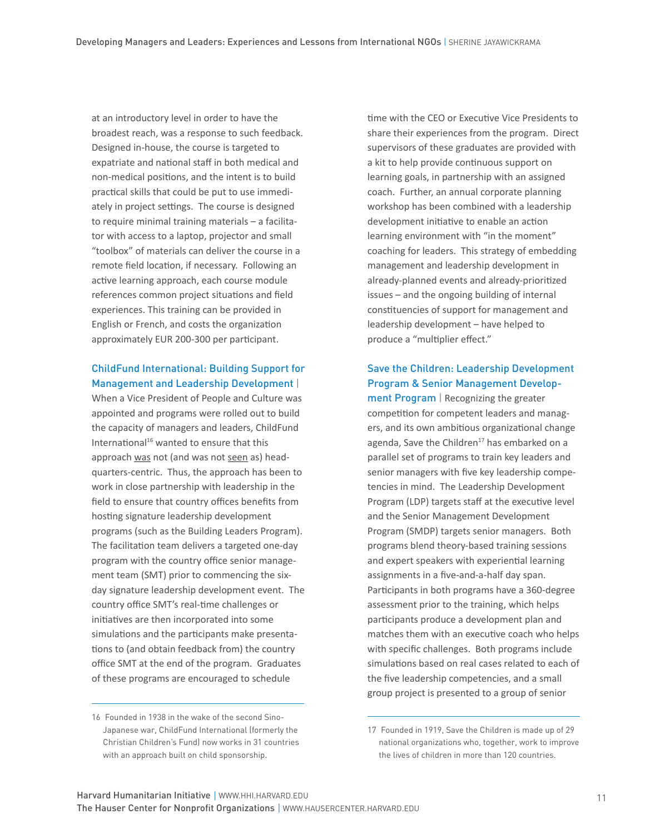at an introductory level in order to have the broadest reach, was a response to such feedback. Designed in-house, the course is targeted to expatriate and national staff in both medical and non-medical positions, and the intent is to build practical skills that could be put to use immediately in project settings. The course is designed to require minimal training materials – a facilitator with access to a laptop, projector and small "toolbox" of materials can deliver the course in a remote field location, if necessary. Following an active learning approach, each course module references common project situations and field experiences. This training can be provided in English or French, and costs the organization approximately EUR 200-300 per participant.

## ChildFund International: Building Support for Management and Leadership Development |

When a Vice President of People and Culture was appointed and programs were rolled out to build the capacity of managers and leaders, ChildFund International<sup>16</sup> wanted to ensure that this approach was not (and was not seen as) headquarters-centric. Thus, the approach has been to work in close partnership with leadership in the field to ensure that country offices benefits from hosting signature leadership development programs (such as the Building Leaders Program). The facilitation team delivers a targeted one-day program with the country office senior management team (SMT) prior to commencing the sixday signature leadership development event. The country office SMT's real-time challenges or initiatives are then incorporated into some simulations and the participants make presentations to (and obtain feedback from) the country office SMT at the end of the program. Graduates of these programs are encouraged to schedule

time with the CEO or Executive Vice Presidents to share their experiences from the program. Direct supervisors of these graduates are provided with a kit to help provide continuous support on learning goals, in partnership with an assigned coach. Further, an annual corporate planning workshop has been combined with a leadership development initiative to enable an action learning environment with "in the moment" coaching for leaders. This strategy of embedding management and leadership development in already-planned events and already-prioritized issues – and the ongoing building of internal constituencies of support for management and leadership development – have helped to produce a "multiplier effect."

## Save the Children: Leadership Development Program & Senior Management Develop-

ment Program | Recognizing the greater competition for competent leaders and managers, and its own ambitious organizational change agenda, Save the Children<sup>17</sup> has embarked on a parallel set of programs to train key leaders and senior managers with five key leadership competencies in mind. The Leadership Development Program (LDP) targets staff at the executive level and the Senior Management Development Program (SMDP) targets senior managers. Both programs blend theory-based training sessions and expert speakers with experiential learning assignments in a five-and-a-half day span. Participants in both programs have a 360-degree assessment prior to the training, which helps participants produce a development plan and matches them with an executive coach who helps with specific challenges. Both programs include simulations based on real cases related to each of the five leadership competencies, and a small group project is presented to a group of senior

<sup>16</sup> Founded in 1938 in the wake of the second Sino-Japanese war, ChildFund International (formerly the Christian Children's Fund) now works in 31 countries with an approach built on child sponsorship.

<sup>17</sup> Founded in 1919, Save the Children is made up of 29 national organizations who, together, work to improve the lives of children in more than 120 countries.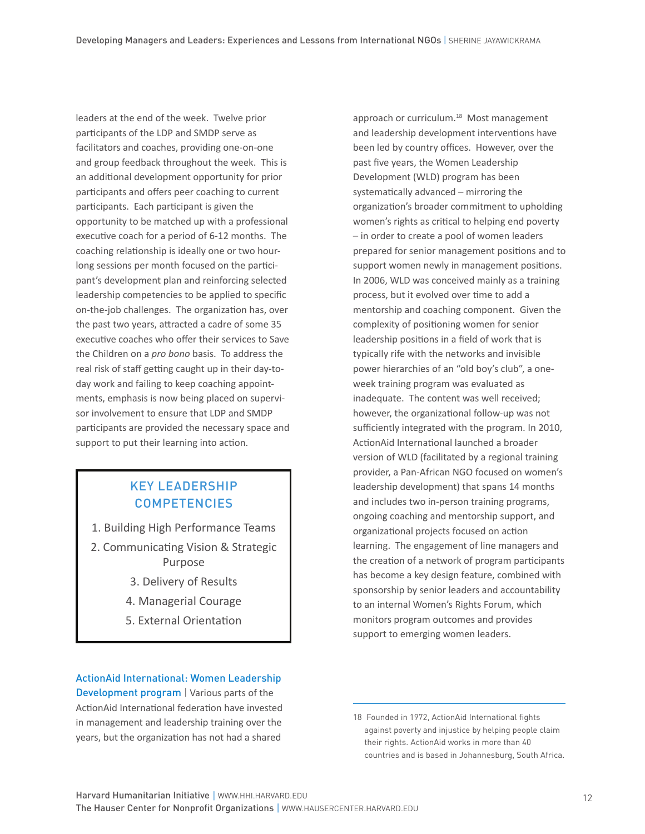leaders at the end of the week. Twelve prior participants of the LDP and SMDP serve as facilitators and coaches, providing one-on-one and group feedback throughout the week. This is an additional development opportunity for prior participants and offers peer coaching to current participants. Each participant is given the opportunity to be matched up with a professional executive coach for a period of 6-12 months. The coaching relationship is ideally one or two hourlong sessions per month focused on the participant's development plan and reinforcing selected leadership competencies to be applied to specific on-the-job challenges. The organization has, over the past two years, attracted a cadre of some 35 executive coaches who offer their services to Save the Children on a *pro bono* basis. To address the real risk of staff getting caught up in their day-today work and failing to keep coaching appointments, emphasis is now being placed on supervisor involvement to ensure that LDP and SMDP participants are provided the necessary space and support to put their learning into action.

# key leadership **COMPETENCIES**

- 1. Building High Performance Teams
- 2. Communicating Vision & Strategic Purpose
	- 3. Delivery of Results
	- 4. Managerial Courage
	- 5. External Orientation

#### ActionAid International: Women Leadership

Development program | Various parts of the ActionAid International federation have invested in management and leadership training over the years, but the organization has not had a shared

approach or curriculum.<sup>18</sup> Most management and leadership development interventions have been led by country offices. However, over the past five years, the Women Leadership Development (WLD) program has been systematically advanced – mirroring the organization's broader commitment to upholding women's rights as critical to helping end poverty – in order to create a pool of women leaders prepared for senior management positions and to support women newly in management positions. In 2006, WLD was conceived mainly as a training process, but it evolved over time to add a mentorship and coaching component. Given the complexity of positioning women for senior leadership positions in a field of work that is typically rife with the networks and invisible power hierarchies of an "old boy's club", a oneweek training program was evaluated as inadequate. The content was well received; however, the organizational follow-up was not sufficiently integrated with the program. In 2010, ActionAid International launched a broader version of WLD (facilitated by a regional training provider, a Pan-African NGO focused on women's leadership development) that spans 14 months and includes two in-person training programs, ongoing coaching and mentorship support, and organizational projects focused on action learning. The engagement of line managers and the creation of a network of program participants has become a key design feature, combined with sponsorship by senior leaders and accountability to an internal Women's Rights Forum, which monitors program outcomes and provides support to emerging women leaders.

<sup>18</sup> Founded in 1972, ActionAid International fights against poverty and injustice by helping people claim their rights. ActionAid works in more than 40 countries and is based in Johannesburg, South Africa.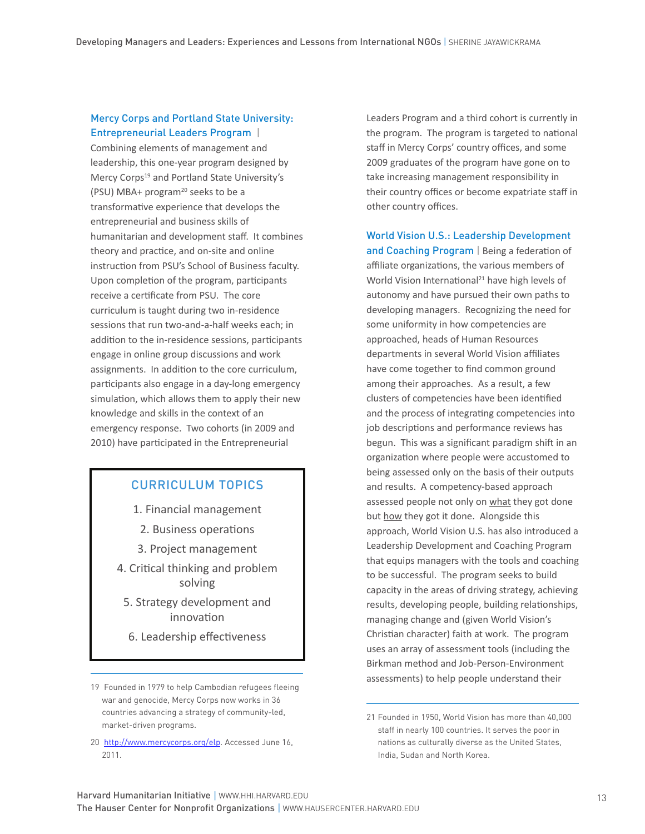## Mercy Corps and Portland State University: Entrepreneurial Leaders Program |

Combining elements of management and leadership, this one-year program designed by Mercy Corps<sup>19</sup> and Portland State University's (PSU) MBA+ program<sup>20</sup> seeks to be a transformative experience that develops the entrepreneurial and business skills of humanitarian and development staff. It combines theory and practice, and on-site and online instruction from PSU's School of Business faculty. Upon completion of the program, participants receive a certificate from PSU. The core curriculum is taught during two in-residence sessions that run two-and-a-half weeks each; in addition to the in-residence sessions, participants engage in online group discussions and work assignments. In addition to the core curriculum, participants also engage in a day-long emergency simulation, which allows them to apply their new knowledge and skills in the context of an emergency response. Two cohorts (in 2009 and 2010) have participated in the Entrepreneurial

## curriculum topics

1. Financial management

- 2. Business operations
- 3. Project management
- 4. Critical thinking and problem solving
	- 5. Strategy development and innovation
	- 6. Leadership effectiveness

20 http://www.mercycorps.org/elp. Accessed June 16, 2011.

Leaders Program and a third cohort is currently in the program. The program is targeted to national staff in Mercy Corps' country offices, and some 2009 graduates of the program have gone on to take increasing management responsibility in their country offices or become expatriate staff in other country offices.

World Vision U.S.: Leadership Development and Coaching Program | Being a federation of affiliate organizations, the various members of World Vision International<sup>21</sup> have high levels of autonomy and have pursued their own paths to developing managers. Recognizing the need for some uniformity in how competencies are approached, heads of Human Resources departments in several World Vision affiliates have come together to find common ground among their approaches. As a result, a few clusters of competencies have been identified and the process of integrating competencies into job descriptions and performance reviews has begun. This was a significant paradigm shift in an organization where people were accustomed to being assessed only on the basis of their outputs and results. A competency-based approach assessed people not only on what they got done but how they got it done. Alongside this approach, World Vision U.S. has also introduced a Leadership Development and Coaching Program that equips managers with the tools and coaching to be successful. The program seeks to build capacity in the areas of driving strategy, achieving results, developing people, building relationships, managing change and (given World Vision's Christian character) faith at work. The program uses an array of assessment tools (including the Birkman method and Job-Person-Environment assessments) to help people understand their

<sup>19</sup> Founded in 1979 to help Cambodian refugees fleeing war and genocide, Mercy Corps now works in 36 countries advancing a strategy of community-led, market-driven programs.

<sup>21</sup> Founded in 1950, World Vision has more than 40,000 staff in nearly 100 countries. It serves the poor in nations as culturally diverse as the United States, India, Sudan and North Korea.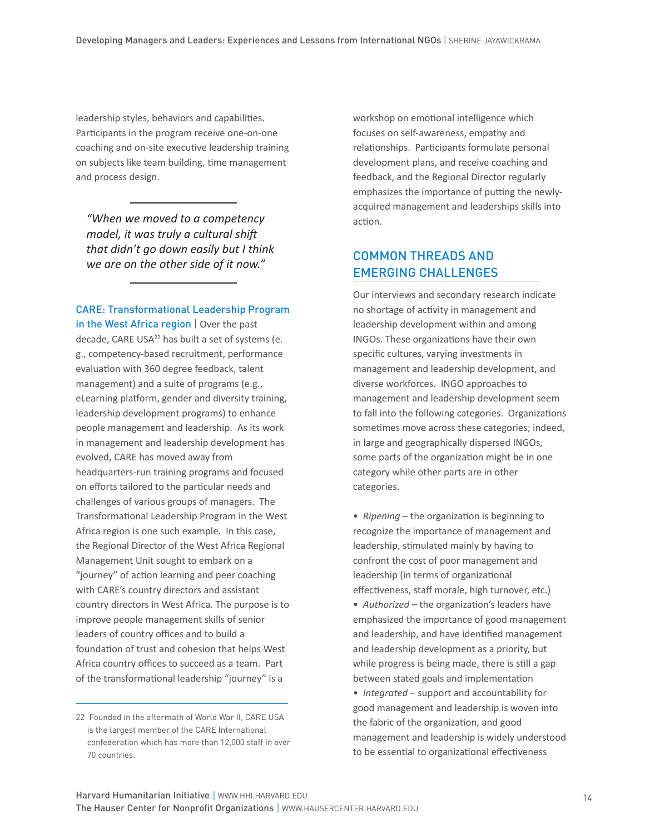leadership styles, behaviors and capabilities. Participants in the program receive one-on-one coaching and on-site executive leadership training on subjects like team building, time management and process design.

*"When we moved to a competency model, it was truly a cultural shift that didn't go down easily but I think we are on the other side of it now."*

#### CARE: Transformational Leadership Program in the West Africa region | Over the past

decade, CARE USA<sup>22</sup> has built a set of systems (e. g., competency-based recruitment, performance evaluation with 360 degree feedback, talent management) and a suite of programs (e.g., eLearning platform, gender and diversity training, leadership development programs) to enhance people management and leadership. As its work in management and leadership development has evolved, CARE has moved away from headquarters-run training programs and focused on efforts tailored to the particular needs and challenges of various groups of managers. The Transformational Leadership Program in the West Africa region is one such example. In this case, the Regional Director of the West Africa Regional Management Unit sought to embark on a "journey" of action learning and peer coaching with CARE's country directors and assistant country directors in West Africa. The purpose is to improve people management skills of senior leaders of country offices and to build a foundation of trust and cohesion that helps West Africa country offices to succeed as a team. Part of the transformational leadership "journey" is a

workshop on emotional intelligence which focuses on self-awareness, empathy and relationships. Participants formulate personal development plans, and receive coaching and feedback, and the Regional Director regularly emphasizes the importance of putting the newlyacquired management and leaderships skills into action.

## Common Threads and Emerging Challenges

Our interviews and secondary research indicate no shortage of activity in management and leadership development within and among INGOs. These organizations have their own specific cultures, varying investments in management and leadership development, and diverse workforces. INGO approaches to management and leadership development seem to fall into the following categories. Organizations sometimes move across these categories; indeed, in large and geographically dispersed INGOs, some parts of the organization might be in one category while other parts are in other categories.

• *Ripening* – the organization is beginning to recognize the importance of management and leadership, stimulated mainly by having to confront the cost of poor management and leadership (in terms of organizational effectiveness, staff morale, high turnover, etc.) • *Authorized* – the organization's leaders have emphasized the importance of good management and leadership, and have identified management and leadership development as a priority, but while progress is being made, there is still a gap between stated goals and implementation

• *Integrated* – support and accountability for good management and leadership is woven into the fabric of the organization, and good management and leadership is widely understood to be essential to organizational effectiveness

<sup>22</sup> Founded in the aftermath of World War II, CARE USA is the largest member of the CARE International confederation which has more than 12,000 staff in over 70 countries.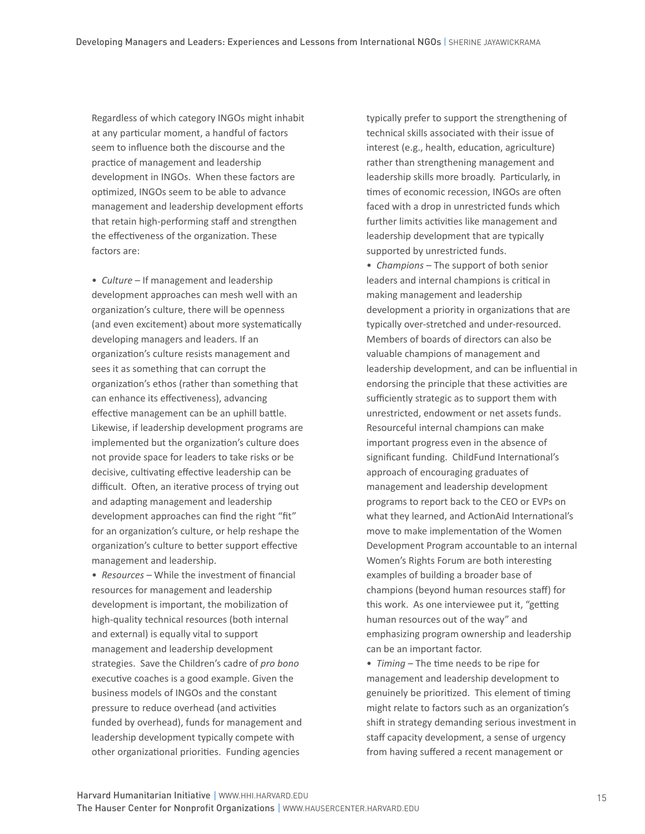Regardless of which category INGOs might inhabit at any particular moment, a handful of factors seem to influence both the discourse and the practice of management and leadership development in INGOs. When these factors are optimized, INGOs seem to be able to advance management and leadership development efforts that retain high-performing staff and strengthen the effectiveness of the organization. These factors are:

• *Culture* – If management and leadership development approaches can mesh well with an organization's culture, there will be openness (and even excitement) about more systematically developing managers and leaders. If an organization's culture resists management and sees it as something that can corrupt the organization's ethos (rather than something that can enhance its effectiveness), advancing effective management can be an uphill battle. Likewise, if leadership development programs are implemented but the organization's culture does not provide space for leaders to take risks or be decisive, cultivating effective leadership can be difficult. Often, an iterative process of trying out and adapting management and leadership development approaches can find the right "fit" for an organization's culture, or help reshape the organization's culture to better support effective management and leadership.

• *Resources* – While the investment of financial resources for management and leadership development is important, the mobilization of high-quality technical resources (both internal and external) is equally vital to support management and leadership development strategies. Save the Children's cadre of *pro bono* executive coaches is a good example. Given the business models of INGOs and the constant pressure to reduce overhead (and activities funded by overhead), funds for management and leadership development typically compete with other organizational priorities. Funding agencies

typically prefer to support the strengthening of technical skills associated with their issue of interest (e.g., health, education, agriculture) rather than strengthening management and leadership skills more broadly. Particularly, in times of economic recession, INGOs are often faced with a drop in unrestricted funds which further limits activities like management and leadership development that are typically supported by unrestricted funds.

• *Champions* – The support of both senior leaders and internal champions is critical in making management and leadership development a priority in organizations that are typically over-stretched and under-resourced. Members of boards of directors can also be valuable champions of management and leadership development, and can be influential in endorsing the principle that these activities are sufficiently strategic as to support them with unrestricted, endowment or net assets funds. Resourceful internal champions can make important progress even in the absence of significant funding. ChildFund International's approach of encouraging graduates of management and leadership development programs to report back to the CEO or EVPs on what they learned, and ActionAid International's move to make implementation of the Women Development Program accountable to an internal Women's Rights Forum are both interesting examples of building a broader base of champions (beyond human resources staff) for this work. As one interviewee put it, "getting human resources out of the way" and emphasizing program ownership and leadership can be an important factor.

• *Timing* – The time needs to be ripe for management and leadership development to genuinely be prioritized. This element of timing might relate to factors such as an organization's shift in strategy demanding serious investment in staff capacity development, a sense of urgency from having suffered a recent management or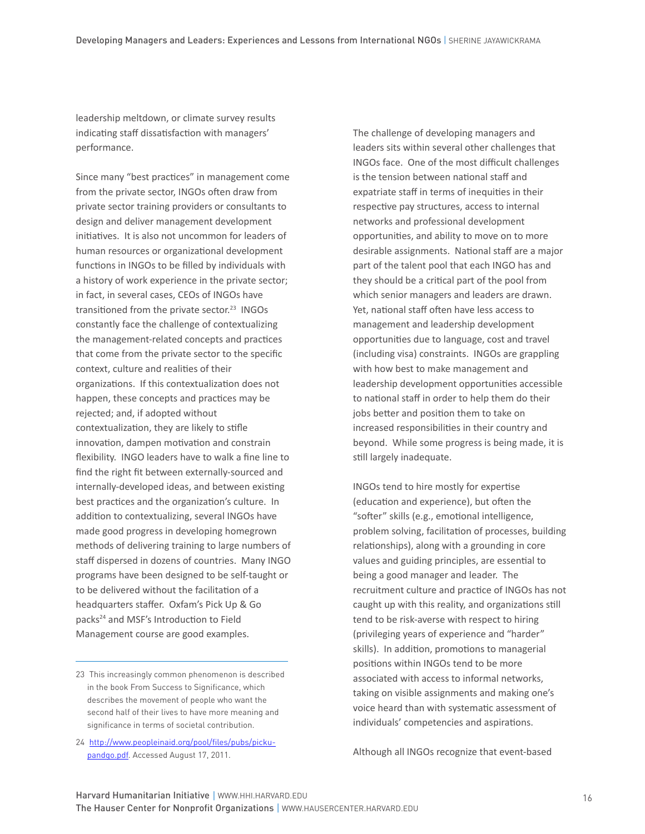leadership meltdown, or climate survey results indicating staff dissatisfaction with managers' performance.

Since many "best practices" in management come from the private sector, INGOs often draw from private sector training providers or consultants to design and deliver management development initiatives. It is also not uncommon for leaders of human resources or organizational development functions in INGOs to be filled by individuals with a history of work experience in the private sector; in fact, in several cases, CEOs of INGOs have transitioned from the private sector.<sup>23</sup> INGOs constantly face the challenge of contextualizing the management-related concepts and practices that come from the private sector to the specific context, culture and realities of their organizations. If this contextualization does not happen, these concepts and practices may be rejected; and, if adopted without contextualization, they are likely to stifle innovation, dampen motivation and constrain flexibility. INGO leaders have to walk a fine line to find the right fit between externally-sourced and internally-developed ideas, and between existing best practices and the organization's culture. In addition to contextualizing, several INGOs have made good progress in developing homegrown methods of delivering training to large numbers of staff dispersed in dozens of countries. Many INGO programs have been designed to be self-taught or to be delivered without the facilitation of a headquarters staffer. Oxfam's Pick Up & Go packs<sup>24</sup> and MSF's Introduction to Field Management course are good examples.

24 http://www.peopleinaid.org/pool/files/pubs/pickupandgo.pdf. Accessed August 17, 2011.

The challenge of developing managers and leaders sits within several other challenges that INGOs face. One of the most difficult challenges is the tension between national staff and expatriate staff in terms of inequities in their respective pay structures, access to internal networks and professional development opportunities, and ability to move on to more desirable assignments. National staff are a major part of the talent pool that each INGO has and they should be a critical part of the pool from which senior managers and leaders are drawn. Yet, national staff often have less access to management and leadership development opportunities due to language, cost and travel (including visa) constraints. INGOs are grappling with how best to make management and leadership development opportunities accessible to national staff in order to help them do their jobs better and position them to take on increased responsibilities in their country and beyond. While some progress is being made, it is still largely inadequate.

INGOs tend to hire mostly for expertise (education and experience), but often the "softer" skills (e.g., emotional intelligence, problem solving, facilitation of processes, building relationships), along with a grounding in core values and guiding principles, are essential to being a good manager and leader. The recruitment culture and practice of INGOs has not caught up with this reality, and organizations still tend to be risk-averse with respect to hiring (privileging years of experience and "harder" skills). In addition, promotions to managerial positions within INGOs tend to be more associated with access to informal networks, taking on visible assignments and making one's voice heard than with systematic assessment of individuals' competencies and aspirations.

Although all INGOs recognize that event-based

<sup>23</sup> This increasingly common phenomenon is described in the book From Success to Significance, which describes the movement of people who want the second half of their lives to have more meaning and significance in terms of societal contribution.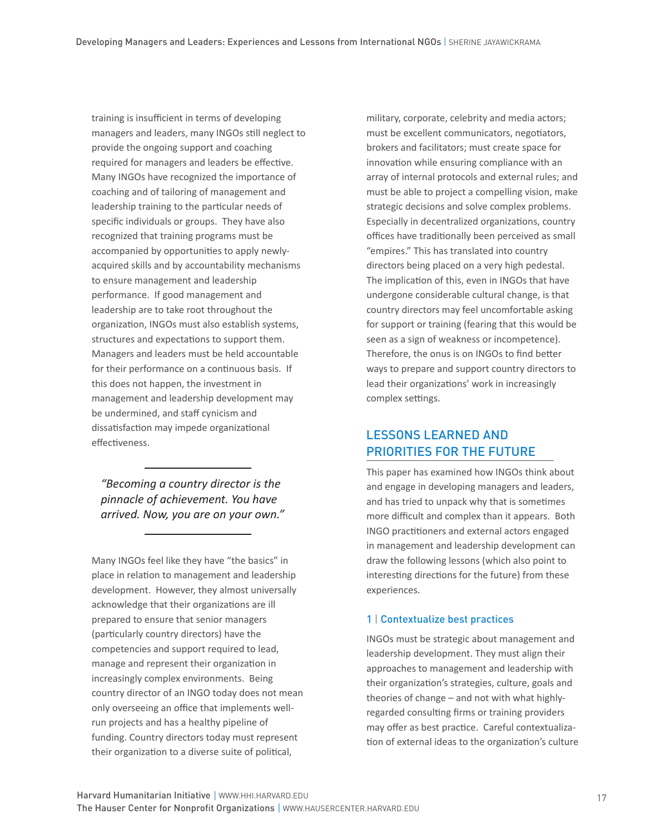training is insufficient in terms of developing managers and leaders, many INGOs still neglect to provide the ongoing support and coaching required for managers and leaders be effective. Many INGOs have recognized the importance of coaching and of tailoring of management and leadership training to the particular needs of specific individuals or groups. They have also recognized that training programs must be accompanied by opportunities to apply newlyacquired skills and by accountability mechanisms to ensure management and leadership performance. If good management and leadership are to take root throughout the organization, INGOs must also establish systems, structures and expectations to support them. Managers and leaders must be held accountable for their performance on a continuous basis. If this does not happen, the investment in management and leadership development may be undermined, and staff cynicism and dissatisfaction may impede organizational effectiveness.

*"Becoming a country director is the pinnacle of achievement. You have arrived. Now, you are on your own."*

Many INGOs feel like they have "the basics" in place in relation to management and leadership development. However, they almost universally acknowledge that their organizations are ill prepared to ensure that senior managers (particularly country directors) have the competencies and support required to lead, manage and represent their organization in increasingly complex environments. Being country director of an INGO today does not mean only overseeing an office that implements wellrun projects and has a healthy pipeline of funding. Country directors today must represent their organization to a diverse suite of political,

military, corporate, celebrity and media actors; must be excellent communicators, negotiators, brokers and facilitators; must create space for innovation while ensuring compliance with an array of internal protocols and external rules; and must be able to project a compelling vision, make strategic decisions and solve complex problems. Especially in decentralized organizations, country offices have traditionally been perceived as small "empires." This has translated into country directors being placed on a very high pedestal. The implication of this, even in INGOs that have undergone considerable cultural change, is that country directors may feel uncomfortable asking for support or training (fearing that this would be seen as a sign of weakness or incompetence). Therefore, the onus is on INGOs to find better ways to prepare and support country directors to lead their organizations' work in increasingly complex settings.

# LESSONS LEARNED AND PRIORITIES FOR THE FUTURE

This paper has examined how INGOs think about and engage in developing managers and leaders, and has tried to unpack why that is sometimes more difficult and complex than it appears. Both INGO practitioners and external actors engaged in management and leadership development can draw the following lessons (which also point to interesting directions for the future) from these experiences.

#### 1 | Contextualize best practices

INGOs must be strategic about management and leadership development. They must align their approaches to management and leadership with their organization's strategies, culture, goals and theories of change – and not with what highlyregarded consulting firms or training providers may offer as best practice. Careful contextualization of external ideas to the organization's culture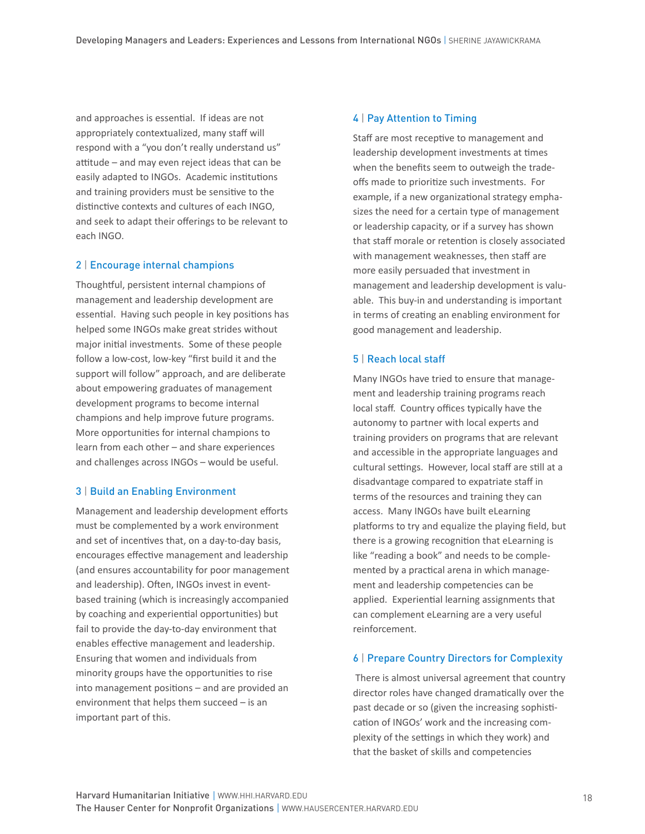and approaches is essential. If ideas are not appropriately contextualized, many staff will respond with a "you don't really understand us" attitude – and may even reject ideas that can be easily adapted to INGOs. Academic institutions and training providers must be sensitive to the distinctive contexts and cultures of each INGO, and seek to adapt their offerings to be relevant to each INGO.

#### 2 | Encourage internal champions

Thoughtful, persistent internal champions of management and leadership development are essential. Having such people in key positions has helped some INGOs make great strides without major initial investments. Some of these people follow a low-cost, low-key "first build it and the support will follow" approach, and are deliberate about empowering graduates of management development programs to become internal champions and help improve future programs. More opportunities for internal champions to learn from each other – and share experiences and challenges across INGOs – would be useful.

#### 3 | Build an Enabling Environment

Management and leadership development efforts must be complemented by a work environment and set of incentives that, on a day-to-day basis, encourages effective management and leadership (and ensures accountability for poor management and leadership). Often, INGOs invest in eventbased training (which is increasingly accompanied by coaching and experiential opportunities) but fail to provide the day-to-day environment that enables effective management and leadership. Ensuring that women and individuals from minority groups have the opportunities to rise into management positions – and are provided an environment that helps them succeed – is an important part of this.

#### 4 | Pay Attention to Timing

Staff are most receptive to management and leadership development investments at times when the benefits seem to outweigh the tradeoffs made to prioritize such investments. For example, if a new organizational strategy emphasizes the need for a certain type of management or leadership capacity, or if a survey has shown that staff morale or retention is closely associated with management weaknesses, then staff are more easily persuaded that investment in management and leadership development is valuable. This buy-in and understanding is important in terms of creating an enabling environment for good management and leadership.

#### 5 | Reach local staff

Many INGOs have tried to ensure that management and leadership training programs reach local staff. Country offices typically have the autonomy to partner with local experts and training providers on programs that are relevant and accessible in the appropriate languages and cultural settings. However, local staff are still at a disadvantage compared to expatriate staff in terms of the resources and training they can access. Many INGOs have built eLearning platforms to try and equalize the playing field, but there is a growing recognition that eLearning is like "reading a book" and needs to be complemented by a practical arena in which management and leadership competencies can be applied. Experiential learning assignments that can complement eLearning are a very useful reinforcement.

#### 6 | Prepare Country Directors for Complexity

 There is almost universal agreement that country director roles have changed dramatically over the past decade or so (given the increasing sophistication of INGOs' work and the increasing complexity of the settings in which they work) and that the basket of skills and competencies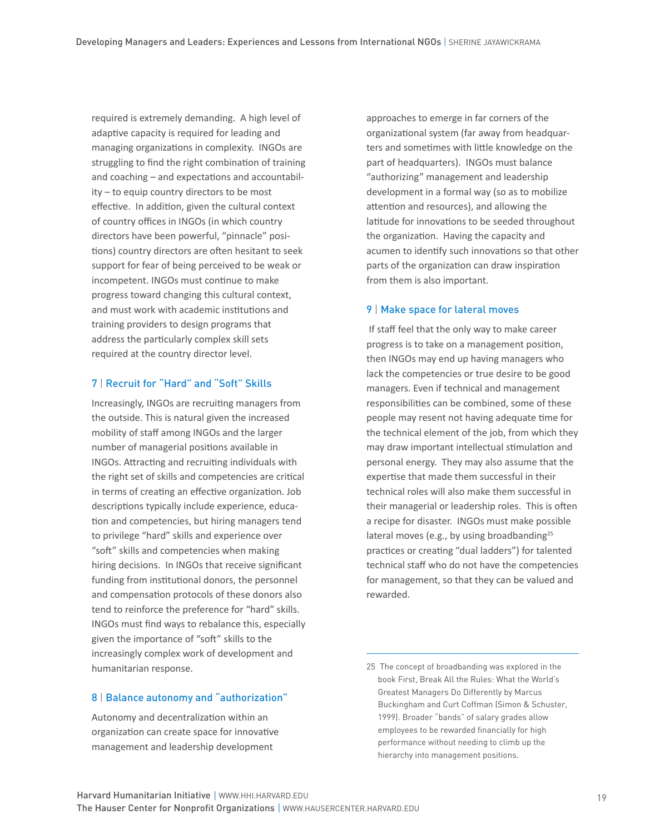required is extremely demanding. A high level of adaptive capacity is required for leading and managing organizations in complexity. INGOs are struggling to find the right combination of training and coaching – and expectations and accountability – to equip country directors to be most effective. In addition, given the cultural context of country offices in INGOs (in which country directors have been powerful, "pinnacle" positions) country directors are often hesitant to seek support for fear of being perceived to be weak or incompetent. INGOs must continue to make progress toward changing this cultural context, and must work with academic institutions and training providers to design programs that address the particularly complex skill sets required at the country director level.

#### 7 | Recruit for "Hard" and "Soft" Skills

Increasingly, INGOs are recruiting managers from the outside. This is natural given the increased mobility of staff among INGOs and the larger number of managerial positions available in INGOs. Attracting and recruiting individuals with the right set of skills and competencies are critical in terms of creating an effective organization. Job descriptions typically include experience, education and competencies, but hiring managers tend to privilege "hard" skills and experience over "soft" skills and competencies when making hiring decisions. In INGOs that receive significant funding from institutional donors, the personnel and compensation protocols of these donors also tend to reinforce the preference for "hard" skills. INGOs must find ways to rebalance this, especially given the importance of "soft" skills to the increasingly complex work of development and humanitarian response.

#### 8 | Balance autonomy and "authorization"

Autonomy and decentralization within an organization can create space for innovative management and leadership development

approaches to emerge in far corners of the organizational system (far away from headquarters and sometimes with little knowledge on the part of headquarters). INGOs must balance "authorizing" management and leadership development in a formal way (so as to mobilize attention and resources), and allowing the latitude for innovations to be seeded throughout the organization. Having the capacity and acumen to identify such innovations so that other parts of the organization can draw inspiration from them is also important.

#### 9 | Make space for lateral moves

 If staff feel that the only way to make career progress is to take on a management position, then INGOs may end up having managers who lack the competencies or true desire to be good managers. Even if technical and management responsibilities can be combined, some of these people may resent not having adequate time for the technical element of the job, from which they may draw important intellectual stimulation and personal energy. They may also assume that the expertise that made them successful in their technical roles will also make them successful in their managerial or leadership roles. This is often a recipe for disaster. INGOs must make possible lateral moves (e.g., by using broadbanding $25$ practices or creating "dual ladders") for talented technical staff who do not have the competencies for management, so that they can be valued and rewarded.

25 The concept of broadbanding was explored in the book First, Break All the Rules: What the World's Greatest Managers Do Differently by Marcus Buckingham and Curt Coffman (Simon & Schuster, 1999). Broader "bands" of salary grades allow employees to be rewarded financially for high performance without needing to climb up the hierarchy into management positions.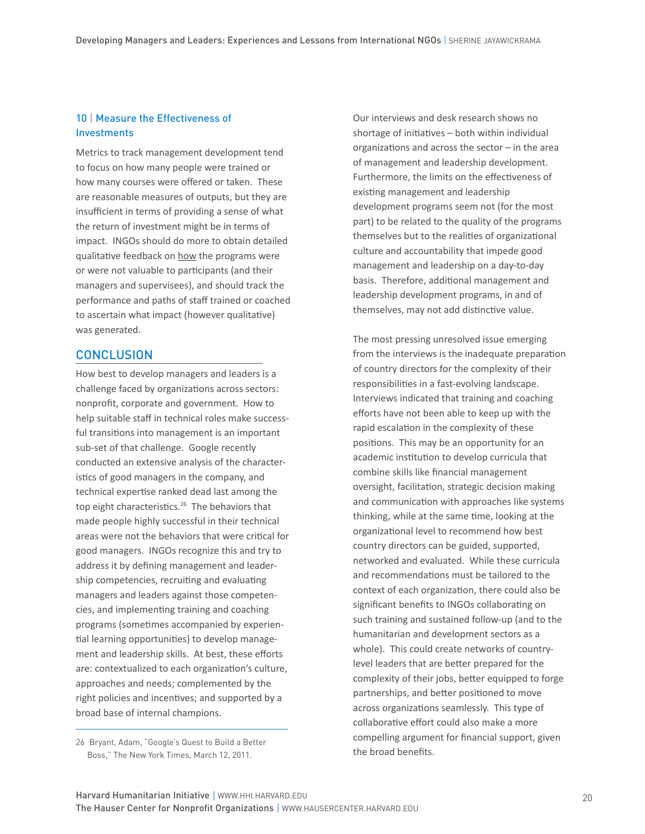## 10 | Measure the Effectiveness of **Investments**

Metrics to track management development tend to focus on how many people were trained or how many courses were offered or taken. These are reasonable measures of outputs, but they are insufficient in terms of providing a sense of what the return of investment might be in terms of impact. INGOs should do more to obtain detailed qualitative feedback on how the programs were or were not valuable to participants (and their managers and supervisees), and should track the performance and paths of staff trained or coached to ascertain what impact (however qualitative) was generated.

#### **CONCLUSION**

How best to develop managers and leaders is a challenge faced by organizations across sectors: nonprofit, corporate and government. How to help suitable staff in technical roles make successful transitions into management is an important sub-set of that challenge. Google recently conducted an extensive analysis of the characteristics of good managers in the company, and technical expertise ranked dead last among the top eight characteristics.<sup>26</sup> The behaviors that made people highly successful in their technical areas were not the behaviors that were critical for good managers. INGOs recognize this and try to address it by defining management and leadership competencies, recruiting and evaluating managers and leaders against those competencies, and implementing training and coaching programs (sometimes accompanied by experiential learning opportunities) to develop management and leadership skills. At best, these efforts are: contextualized to each organization's culture, approaches and needs; complemented by the right policies and incentives; and supported by a broad base of internal champions.

Our interviews and desk research shows no shortage of initiatives – both within individual organizations and across the sector – in the area of management and leadership development. Furthermore, the limits on the effectiveness of existing management and leadership development programs seem not (for the most part) to be related to the quality of the programs themselves but to the realities of organizational culture and accountability that impede good management and leadership on a day-to-day basis. Therefore, additional management and leadership development programs, in and of themselves, may not add distinctive value.

The most pressing unresolved issue emerging from the interviews is the inadequate preparation of country directors for the complexity of their responsibilities in a fast-evolving landscape. Interviews indicated that training and coaching efforts have not been able to keep up with the rapid escalation in the complexity of these positions. This may be an opportunity for an academic institution to develop curricula that combine skills like financial management oversight, facilitation, strategic decision making and communication with approaches like systems thinking, while at the same time, looking at the organizational level to recommend how best country directors can be guided, supported, networked and evaluated. While these curricula and recommendations must be tailored to the context of each organization, there could also be significant benefits to INGOs collaborating on such training and sustained follow-up (and to the humanitarian and development sectors as a whole). This could create networks of countrylevel leaders that are better prepared for the complexity of their jobs, better equipped to forge partnerships, and better positioned to move across organizations seamlessly. This type of collaborative effort could also make a more compelling argument for financial support, given the broad benefits.

<sup>26</sup> Bryant, Adam, "Google's Quest to Build a Better Boss," The New York Times, March 12, 2011.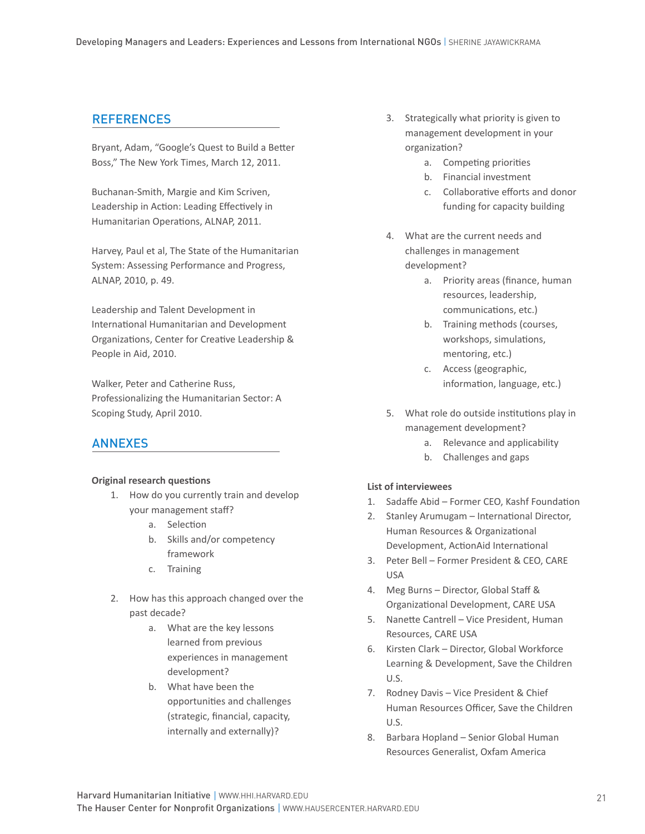## **REFERENCES**

Bryant, Adam, "Google's Quest to Build a Better Boss," The New York Times, March 12, 2011.

Buchanan-Smith, Margie and Kim Scriven, Leadership in Action: Leading Effectively in Humanitarian Operations, ALNAP, 2011.

Harvey, Paul et al, The State of the Humanitarian System: Assessing Performance and Progress, ALNAP, 2010, p. 49.

Leadership and Talent Development in International Humanitarian and Development Organizations, Center for Creative Leadership & People in Aid, 2010.

Walker, Peter and Catherine Russ, Professionalizing the Humanitarian Sector: A Scoping Study, April 2010.

## ANNEXES

#### **Original research questions**

- 1. How do you currently train and develop your management staff?
	- a. Selection
	- b. Skills and/or competency framework
	- c. Training
- 2. How has this approach changed over the past decade?
	- a. What are the key lessons learned from previous experiences in management development?
	- b. What have been the opportunities and challenges (strategic, financial, capacity, internally and externally)?
- 3. Strategically what priority is given to management development in your organization?
	- a. Competing priorities
	- b. Financial investment
	- c. Collaborative efforts and donor funding for capacity building
- 4. What are the current needs and challenges in management development?
	- a. Priority areas (finance, human resources, leadership, communications, etc.)
	- b. Training methods (courses, workshops, simulations, mentoring, etc.)
	- c. Access (geographic, information, language, etc.)
- 5. What role do outside institutions play in management development?
	- a. Relevance and applicability
	- b. Challenges and gaps

#### **List of interviewees**

- 1. Sadaffe Abid Former CEO, Kashf Foundation
- 2. Stanley Arumugam International Director, Human Resources & Organizational Development, ActionAid International
- 3. Peter Bell Former President & CEO, CARE USA
- 4. Meg Burns Director, Global Staff & Organizational Development, CARE USA
- 5. Nanette Cantrell Vice President, Human Resources, CARE USA
- 6. Kirsten Clark Director, Global Workforce Learning & Development, Save the Children U.S.
- 7. Rodney Davis Vice President & Chief Human Resources Officer, Save the Children U.S.
- 8. Barbara Hopland Senior Global Human Resources Generalist, Oxfam America